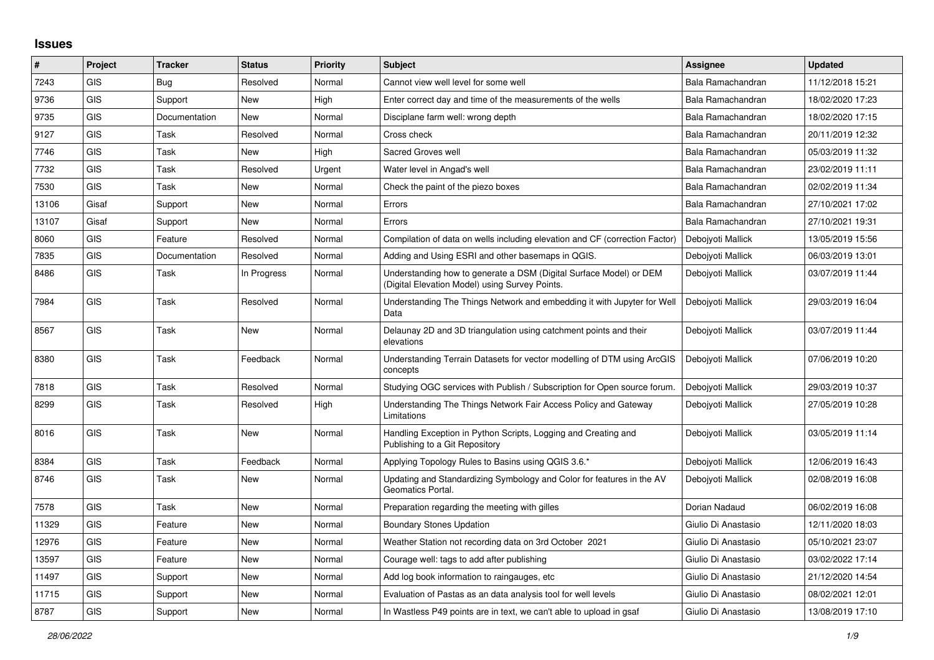## **Issues**

| #     | Project    | <b>Tracker</b> | <b>Status</b> | <b>Priority</b> | <b>Subject</b>                                                                                                       | <b>Assignee</b>     | <b>Updated</b>   |
|-------|------------|----------------|---------------|-----------------|----------------------------------------------------------------------------------------------------------------------|---------------------|------------------|
| 7243  | GIS        | Bug            | Resolved      | Normal          | Cannot view well level for some well                                                                                 | Bala Ramachandran   | 11/12/2018 15:21 |
| 9736  | <b>GIS</b> | Support        | New           | High            | Enter correct day and time of the measurements of the wells                                                          | Bala Ramachandran   | 18/02/2020 17:23 |
| 9735  | GIS        | Documentation  | New           | Normal          | Disciplane farm well: wrong depth                                                                                    | Bala Ramachandran   | 18/02/2020 17:15 |
| 9127  | GIS        | Task           | Resolved      | Normal          | Cross check                                                                                                          | Bala Ramachandran   | 20/11/2019 12:32 |
| 7746  | GIS        | Task           | <b>New</b>    | High            | Sacred Groves well                                                                                                   | Bala Ramachandran   | 05/03/2019 11:32 |
| 7732  | GIS        | Task           | Resolved      | Urgent          | Water level in Angad's well                                                                                          | Bala Ramachandran   | 23/02/2019 11:11 |
| 7530  | <b>GIS</b> | Task           | New           | Normal          | Check the paint of the piezo boxes                                                                                   | Bala Ramachandran   | 02/02/2019 11:34 |
| 13106 | Gisaf      | Support        | <b>New</b>    | Normal          | Errors                                                                                                               | Bala Ramachandran   | 27/10/2021 17:02 |
| 13107 | Gisaf      | Support        | New           | Normal          | Errors                                                                                                               | Bala Ramachandran   | 27/10/2021 19:31 |
| 8060  | <b>GIS</b> | Feature        | Resolved      | Normal          | Compilation of data on wells including elevation and CF (correction Factor)                                          | Debojyoti Mallick   | 13/05/2019 15:56 |
| 7835  | <b>GIS</b> | Documentation  | Resolved      | Normal          | Adding and Using ESRI and other basemaps in QGIS.                                                                    | Debojyoti Mallick   | 06/03/2019 13:01 |
| 8486  | GIS        | Task           | In Progress   | Normal          | Understanding how to generate a DSM (Digital Surface Model) or DEM<br>(Digital Elevation Model) using Survey Points. | Deboivoti Mallick   | 03/07/2019 11:44 |
| 7984  | <b>GIS</b> | Task           | Resolved      | Normal          | Understanding The Things Network and embedding it with Jupyter for Well<br>Data                                      | Debojyoti Mallick   | 29/03/2019 16:04 |
| 8567  | <b>GIS</b> | Task           | <b>New</b>    | Normal          | Delaunay 2D and 3D triangulation using catchment points and their<br>elevations                                      | Debojyoti Mallick   | 03/07/2019 11:44 |
| 8380  | <b>GIS</b> | Task           | Feedback      | Normal          | Understanding Terrain Datasets for vector modelling of DTM using ArcGIS<br>concepts                                  | Debojyoti Mallick   | 07/06/2019 10:20 |
| 7818  | <b>GIS</b> | Task           | Resolved      | Normal          | Studying OGC services with Publish / Subscription for Open source forum.                                             | Debojyoti Mallick   | 29/03/2019 10:37 |
| 8299  | GIS        | Task           | Resolved      | High            | Understanding The Things Network Fair Access Policy and Gateway<br>Limitations                                       | Deboivoti Mallick   | 27/05/2019 10:28 |
| 8016  | <b>GIS</b> | Task           | New           | Normal          | Handling Exception in Python Scripts, Logging and Creating and<br>Publishing to a Git Repository                     | Debojyoti Mallick   | 03/05/2019 11:14 |
| 8384  | <b>GIS</b> | Task           | Feedback      | Normal          | Applying Topology Rules to Basins using QGIS 3.6.*                                                                   | Debojyoti Mallick   | 12/06/2019 16:43 |
| 8746  | GIS        | Task           | New           | Normal          | Updating and Standardizing Symbology and Color for features in the AV<br>Geomatics Portal.                           | Debojyoti Mallick   | 02/08/2019 16:08 |
| 7578  | <b>GIS</b> | Task           | New           | Normal          | Preparation regarding the meeting with gilles                                                                        | Dorian Nadaud       | 06/02/2019 16:08 |
| 11329 | GIS        | Feature        | <b>New</b>    | Normal          | <b>Boundary Stones Updation</b>                                                                                      | Giulio Di Anastasio | 12/11/2020 18:03 |
| 12976 | <b>GIS</b> | Feature        | New           | Normal          | Weather Station not recording data on 3rd October 2021                                                               | Giulio Di Anastasio | 05/10/2021 23:07 |
| 13597 | GIS        | Feature        | New           | Normal          | Courage well: tags to add after publishing                                                                           | Giulio Di Anastasio | 03/02/2022 17:14 |
| 11497 | <b>GIS</b> | Support        | New           | Normal          | Add log book information to raingauges, etc                                                                          | Giulio Di Anastasio | 21/12/2020 14:54 |
| 11715 | GIS        | Support        | <b>New</b>    | Normal          | Evaluation of Pastas as an data analysis tool for well levels                                                        | Giulio Di Anastasio | 08/02/2021 12:01 |
| 8787  | GIS        | Support        | New           | Normal          | In Wastless P49 points are in text, we can't able to upload in gsaf                                                  | Giulio Di Anastasio | 13/08/2019 17:10 |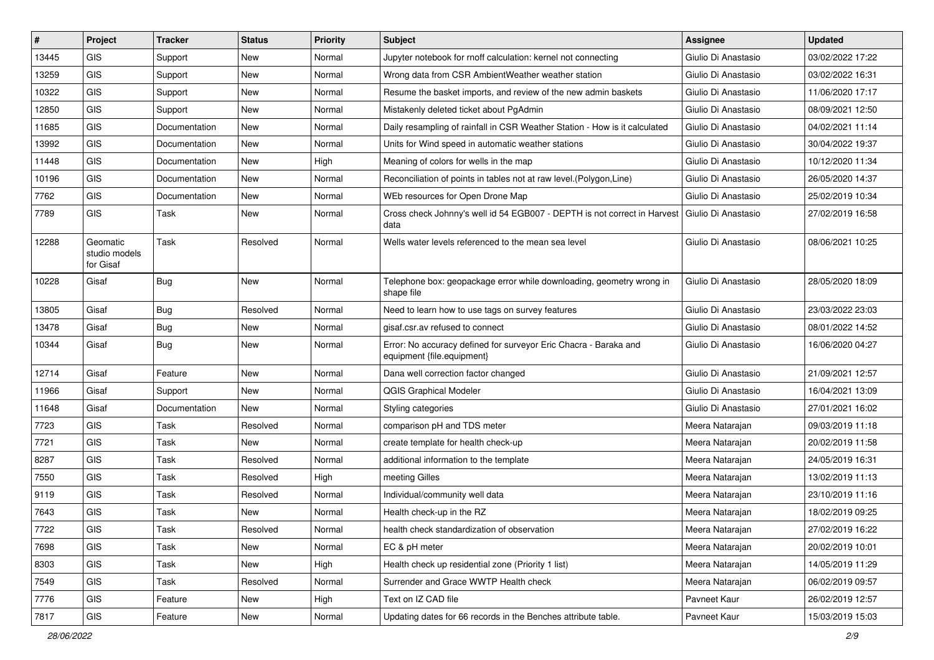| #     | Project                                | <b>Tracker</b> | <b>Status</b> | Priority | Subject                                                                                        | <b>Assignee</b>     | <b>Updated</b>   |
|-------|----------------------------------------|----------------|---------------|----------|------------------------------------------------------------------------------------------------|---------------------|------------------|
| 13445 | <b>GIS</b>                             | Support        | New           | Normal   | Jupyter notebook for rnoff calculation: kernel not connecting                                  | Giulio Di Anastasio | 03/02/2022 17:22 |
| 13259 | GIS                                    | Support        | New           | Normal   | Wrong data from CSR AmbientWeather weather station                                             | Giulio Di Anastasio | 03/02/2022 16:31 |
| 10322 | <b>GIS</b>                             | Support        | New           | Normal   | Resume the basket imports, and review of the new admin baskets                                 | Giulio Di Anastasio | 11/06/2020 17:17 |
| 12850 | GIS                                    | Support        | New           | Normal   | Mistakenly deleted ticket about PgAdmin                                                        | Giulio Di Anastasio | 08/09/2021 12:50 |
| 11685 | GIS                                    | Documentation  | New           | Normal   | Daily resampling of rainfall in CSR Weather Station - How is it calculated                     | Giulio Di Anastasio | 04/02/2021 11:14 |
| 13992 | <b>GIS</b>                             | Documentation  | <b>New</b>    | Normal   | Units for Wind speed in automatic weather stations                                             | Giulio Di Anastasio | 30/04/2022 19:37 |
| 11448 | GIS                                    | Documentation  | New           | High     | Meaning of colors for wells in the map                                                         | Giulio Di Anastasio | 10/12/2020 11:34 |
| 10196 | GIS                                    | Documentation  | New           | Normal   | Reconciliation of points in tables not at raw level. (Polygon, Line)                           | Giulio Di Anastasio | 26/05/2020 14:37 |
| 7762  | GIS                                    | Documentation  | New           | Normal   | WEb resources for Open Drone Map                                                               | Giulio Di Anastasio | 25/02/2019 10:34 |
| 7789  | GIS                                    | Task           | New           | Normal   | Cross check Johnny's well id 54 EGB007 - DEPTH is not correct in Harvest<br>data               | Giulio Di Anastasio | 27/02/2019 16:58 |
| 12288 | Geomatic<br>studio models<br>for Gisaf | Task           | Resolved      | Normal   | Wells water levels referenced to the mean sea level                                            | Giulio Di Anastasio | 08/06/2021 10:25 |
| 10228 | Gisaf                                  | Bug            | New           | Normal   | Telephone box: geopackage error while downloading, geometry wrong in<br>shape file             | Giulio Di Anastasio | 28/05/2020 18:09 |
| 13805 | Gisaf                                  | Bug            | Resolved      | Normal   | Need to learn how to use tags on survey features                                               | Giulio Di Anastasio | 23/03/2022 23:03 |
| 13478 | Gisaf                                  | <b>Bug</b>     | <b>New</b>    | Normal   | gisaf.csr.av refused to connect                                                                | Giulio Di Anastasio | 08/01/2022 14:52 |
| 10344 | Gisaf                                  | Bug            | New           | Normal   | Error: No accuracy defined for surveyor Eric Chacra - Baraka and<br>equipment {file.equipment} | Giulio Di Anastasio | 16/06/2020 04:27 |
| 12714 | Gisaf                                  | Feature        | New           | Normal   | Dana well correction factor changed                                                            | Giulio Di Anastasio | 21/09/2021 12:57 |
| 11966 | Gisaf                                  | Support        | New           | Normal   | <b>QGIS Graphical Modeler</b>                                                                  | Giulio Di Anastasio | 16/04/2021 13:09 |
| 11648 | Gisaf                                  | Documentation  | New           | Normal   | Styling categories                                                                             | Giulio Di Anastasio | 27/01/2021 16:02 |
| 7723  | GIS                                    | Task           | Resolved      | Normal   | comparison pH and TDS meter                                                                    | Meera Natarajan     | 09/03/2019 11:18 |
| 7721  | GIS                                    | Task           | New           | Normal   | create template for health check-up                                                            | Meera Natarajan     | 20/02/2019 11:58 |
| 8287  | <b>GIS</b>                             | Task           | Resolved      | Normal   | additional information to the template                                                         | Meera Natarajan     | 24/05/2019 16:31 |
| 7550  | <b>GIS</b>                             | Task           | Resolved      | High     | meeting Gilles                                                                                 | Meera Natarajan     | 13/02/2019 11:13 |
| 9119  | GIS                                    | Task           | Resolved      | Normal   | Individual/community well data                                                                 | Meera Natarajan     | 23/10/2019 11:16 |
| 7643  | GIS                                    | Task           | New           | Normal   | Health check-up in the RZ                                                                      | Meera Natarajan     | 18/02/2019 09:25 |
| 7722  | <b>GIS</b>                             | Task           | Resolved      | Normal   | health check standardization of observation                                                    | Meera Natarajan     | 27/02/2019 16:22 |
| 7698  | GIS                                    | Task           | New           | Normal   | EC & pH meter                                                                                  | Meera Natarajan     | 20/02/2019 10:01 |
| 8303  | GIS                                    | Task           | New           | High     | Health check up residential zone (Priority 1 list)                                             | Meera Natarajan     | 14/05/2019 11:29 |
| 7549  | GIS                                    | Task           | Resolved      | Normal   | Surrender and Grace WWTP Health check                                                          | Meera Natarajan     | 06/02/2019 09:57 |
| 7776  | GIS                                    | Feature        | New           | High     | Text on IZ CAD file                                                                            | Pavneet Kaur        | 26/02/2019 12:57 |
| 7817  | GIS                                    | Feature        | New           | Normal   | Updating dates for 66 records in the Benches attribute table.                                  | Pavneet Kaur        | 15/03/2019 15:03 |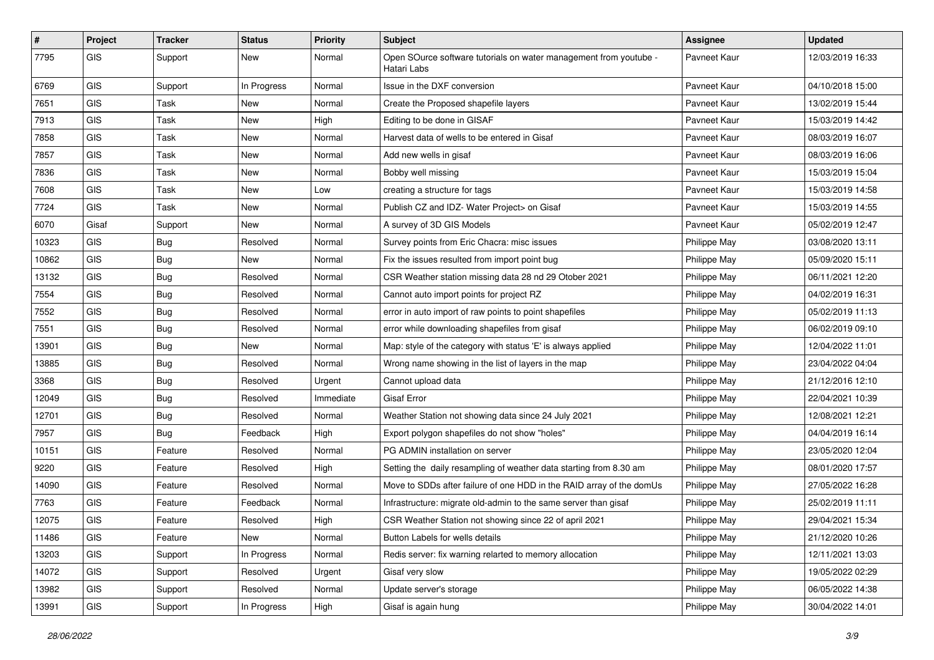| #     | Project    | <b>Tracker</b> | <b>Status</b> | <b>Priority</b> | Subject                                                                          | <b>Assignee</b> | <b>Updated</b>   |
|-------|------------|----------------|---------------|-----------------|----------------------------------------------------------------------------------|-----------------|------------------|
| 7795  | GIS        | Support        | New           | Normal          | Open SOurce software tutorials on water management from youtube -<br>Hatari Labs | Pavneet Kaur    | 12/03/2019 16:33 |
| 6769  | <b>GIS</b> | Support        | In Progress   | Normal          | Issue in the DXF conversion                                                      | Pavneet Kaur    | 04/10/2018 15:00 |
| 7651  | GIS        | Task           | New           | Normal          | Create the Proposed shapefile layers                                             | Pavneet Kaur    | 13/02/2019 15:44 |
| 7913  | GIS        | <b>Task</b>    | New           | High            | Editing to be done in GISAF                                                      | Pavneet Kaur    | 15/03/2019 14:42 |
| 7858  | GIS        | Task           | New           | Normal          | Harvest data of wells to be entered in Gisaf                                     | Pavneet Kaur    | 08/03/2019 16:07 |
| 7857  | GIS        | <b>Task</b>    | New           | Normal          | Add new wells in gisaf                                                           | Pavneet Kaur    | 08/03/2019 16:06 |
| 7836  | GIS        | Task           | New           | Normal          | Bobby well missing                                                               | Pavneet Kaur    | 15/03/2019 15:04 |
| 7608  | GIS        | Task           | New           | Low             | creating a structure for tags                                                    | Pavneet Kaur    | 15/03/2019 14:58 |
| 7724  | GIS        | Task           | New           | Normal          | Publish CZ and IDZ- Water Project> on Gisaf                                      | Pavneet Kaur    | 15/03/2019 14:55 |
| 6070  | Gisaf      | Support        | New           | Normal          | A survey of 3D GIS Models                                                        | Pavneet Kaur    | 05/02/2019 12:47 |
| 10323 | GIS        | <b>Bug</b>     | Resolved      | Normal          | Survey points from Eric Chacra: misc issues                                      | Philippe May    | 03/08/2020 13:11 |
| 10862 | <b>GIS</b> | Bug            | New           | Normal          | Fix the issues resulted from import point bug                                    | Philippe May    | 05/09/2020 15:11 |
| 13132 | <b>GIS</b> | <b>Bug</b>     | Resolved      | Normal          | CSR Weather station missing data 28 nd 29 Otober 2021                            | Philippe May    | 06/11/2021 12:20 |
| 7554  | GIS        | <b>Bug</b>     | Resolved      | Normal          | Cannot auto import points for project RZ                                         | Philippe May    | 04/02/2019 16:31 |
| 7552  | GIS        | Bug            | Resolved      | Normal          | error in auto import of raw points to point shapefiles                           | Philippe May    | 05/02/2019 11:13 |
| 7551  | GIS        | <b>Bug</b>     | Resolved      | Normal          | error while downloading shapefiles from gisaf                                    | Philippe May    | 06/02/2019 09:10 |
| 13901 | GIS        | Bug            | <b>New</b>    | Normal          | Map: style of the category with status 'E' is always applied                     | Philippe May    | 12/04/2022 11:01 |
| 13885 | GIS        | Bug            | Resolved      | Normal          | Wrong name showing in the list of layers in the map                              | Philippe May    | 23/04/2022 04:04 |
| 3368  | GIS        | <b>Bug</b>     | Resolved      | Urgent          | Cannot upload data                                                               | Philippe May    | 21/12/2016 12:10 |
| 12049 | GIS        | Bug            | Resolved      | Immediate       | <b>Gisaf Error</b>                                                               | Philippe May    | 22/04/2021 10:39 |
| 12701 | GIS        | <b>Bug</b>     | Resolved      | Normal          | Weather Station not showing data since 24 July 2021                              | Philippe May    | 12/08/2021 12:21 |
| 7957  | GIS        | Bug            | Feedback      | High            | Export polygon shapefiles do not show "holes"                                    | Philippe May    | 04/04/2019 16:14 |
| 10151 | <b>GIS</b> | Feature        | Resolved      | Normal          | PG ADMIN installation on server                                                  | Philippe May    | 23/05/2020 12:04 |
| 9220  | GIS        | Feature        | Resolved      | High            | Setting the daily resampling of weather data starting from 8.30 am               | Philippe May    | 08/01/2020 17:57 |
| 14090 | GIS        | Feature        | Resolved      | Normal          | Move to SDDs after failure of one HDD in the RAID array of the domUs             | Philippe May    | 27/05/2022 16:28 |
| 7763  | GIS        | Feature        | Feedback      | Normal          | Infrastructure: migrate old-admin to the same server than gisaf                  | Philippe May    | 25/02/2019 11:11 |
| 12075 | GIS        | Feature        | Resolved      | High            | CSR Weather Station not showing since 22 of april 2021                           | Philippe May    | 29/04/2021 15:34 |
| 11486 | GIS        | Feature        | <b>New</b>    | Normal          | Button Labels for wells details                                                  | Philippe May    | 21/12/2020 10:26 |
| 13203 | GIS        | Support        | In Progress   | Normal          | Redis server: fix warning relarted to memory allocation                          | Philippe May    | 12/11/2021 13:03 |
| 14072 | GIS        | Support        | Resolved      | Urgent          | Gisaf very slow                                                                  | Philippe May    | 19/05/2022 02:29 |
| 13982 | GIS        | Support        | Resolved      | Normal          | Update server's storage                                                          | Philippe May    | 06/05/2022 14:38 |
| 13991 | GIS        | Support        | In Progress   | High            | Gisaf is again hung                                                              | Philippe May    | 30/04/2022 14:01 |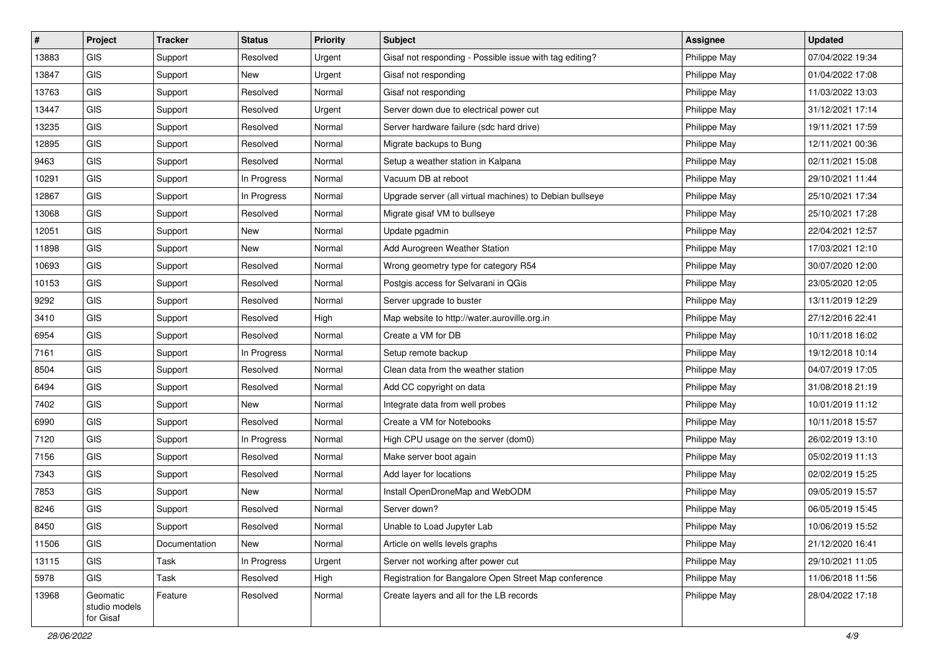| $\vert$ # | Project                                | <b>Tracker</b> | <b>Status</b> | <b>Priority</b> | <b>Subject</b>                                           | <b>Assignee</b> | <b>Updated</b>   |
|-----------|----------------------------------------|----------------|---------------|-----------------|----------------------------------------------------------|-----------------|------------------|
| 13883     | <b>GIS</b>                             | Support        | Resolved      | Urgent          | Gisaf not responding - Possible issue with tag editing?  | Philippe May    | 07/04/2022 19:34 |
| 13847     | GIS                                    | Support        | <b>New</b>    | Urgent          | Gisaf not responding                                     | Philippe May    | 01/04/2022 17:08 |
| 13763     | GIS                                    | Support        | Resolved      | Normal          | Gisaf not responding                                     | Philippe May    | 11/03/2022 13:03 |
| 13447     | <b>GIS</b>                             | Support        | Resolved      | Urgent          | Server down due to electrical power cut                  | Philippe May    | 31/12/2021 17:14 |
| 13235     | GIS                                    | Support        | Resolved      | Normal          | Server hardware failure (sdc hard drive)                 | Philippe May    | 19/11/2021 17:59 |
| 12895     | <b>GIS</b>                             | Support        | Resolved      | Normal          | Migrate backups to Bung                                  | Philippe May    | 12/11/2021 00:36 |
| 9463      | GIS                                    | Support        | Resolved      | Normal          | Setup a weather station in Kalpana                       | Philippe May    | 02/11/2021 15:08 |
| 10291     | GIS                                    | Support        | In Progress   | Normal          | Vacuum DB at reboot                                      | Philippe May    | 29/10/2021 11:44 |
| 12867     | GIS                                    | Support        | In Progress   | Normal          | Upgrade server (all virtual machines) to Debian bullseye | Philippe May    | 25/10/2021 17:34 |
| 13068     | GIS                                    | Support        | Resolved      | Normal          | Migrate gisaf VM to bullseye                             | Philippe May    | 25/10/2021 17:28 |
| 12051     | <b>GIS</b>                             | Support        | New           | Normal          | Update pgadmin                                           | Philippe May    | 22/04/2021 12:57 |
| 11898     | GIS                                    | Support        | New           | Normal          | Add Aurogreen Weather Station                            | Philippe May    | 17/03/2021 12:10 |
| 10693     | GIS                                    | Support        | Resolved      | Normal          | Wrong geometry type for category R54                     | Philippe May    | 30/07/2020 12:00 |
| 10153     | GIS                                    | Support        | Resolved      | Normal          | Postgis access for Selvarani in QGis                     | Philippe May    | 23/05/2020 12:05 |
| 9292      | GIS                                    | Support        | Resolved      | Normal          | Server upgrade to buster                                 | Philippe May    | 13/11/2019 12:29 |
| 3410      | <b>GIS</b>                             | Support        | Resolved      | High            | Map website to http://water.auroville.org.in             | Philippe May    | 27/12/2016 22:41 |
| 6954      | GIS                                    | Support        | Resolved      | Normal          | Create a VM for DB                                       | Philippe May    | 10/11/2018 16:02 |
| 7161      | <b>GIS</b>                             | Support        | In Progress   | Normal          | Setup remote backup                                      | Philippe May    | 19/12/2018 10:14 |
| 8504      | <b>GIS</b>                             | Support        | Resolved      | Normal          | Clean data from the weather station                      | Philippe May    | 04/07/2019 17:05 |
| 6494      | GIS                                    | Support        | Resolved      | Normal          | Add CC copyright on data                                 | Philippe May    | 31/08/2018 21:19 |
| 7402      | <b>GIS</b>                             | Support        | New           | Normal          | Integrate data from well probes                          | Philippe May    | 10/01/2019 11:12 |
| 6990      | <b>GIS</b>                             | Support        | Resolved      | Normal          | Create a VM for Notebooks                                | Philippe May    | 10/11/2018 15:57 |
| 7120      | GIS                                    | Support        | In Progress   | Normal          | High CPU usage on the server (dom0)                      | Philippe May    | 26/02/2019 13:10 |
| 7156      | <b>GIS</b>                             | Support        | Resolved      | Normal          | Make server boot again                                   | Philippe May    | 05/02/2019 11:13 |
| 7343      | GIS                                    | Support        | Resolved      | Normal          | Add layer for locations                                  | Philippe May    | 02/02/2019 15:25 |
| 7853      | GIS                                    | Support        | New           | Normal          | Install OpenDroneMap and WebODM                          | Philippe May    | 09/05/2019 15:57 |
| 8246      | GIS                                    | Support        | Resolved      | Normal          | Server down?                                             | Philippe May    | 06/05/2019 15:45 |
| 8450      | GIS                                    | Support        | Resolved      | Normal          | Unable to Load Jupyter Lab                               | Philippe May    | 10/06/2019 15:52 |
| 11506     | <b>GIS</b>                             | Documentation  | New           | Normal          | Article on wells levels graphs                           | Philippe May    | 21/12/2020 16:41 |
| 13115     | GIS                                    | Task           | In Progress   | Urgent          | Server not working after power cut                       | Philippe May    | 29/10/2021 11:05 |
| 5978      | <b>GIS</b>                             | Task           | Resolved      | High            | Registration for Bangalore Open Street Map conference    | Philippe May    | 11/06/2018 11:56 |
| 13968     | Geomatic<br>studio models<br>for Gisaf | Feature        | Resolved      | Normal          | Create layers and all for the LB records                 | Philippe May    | 28/04/2022 17:18 |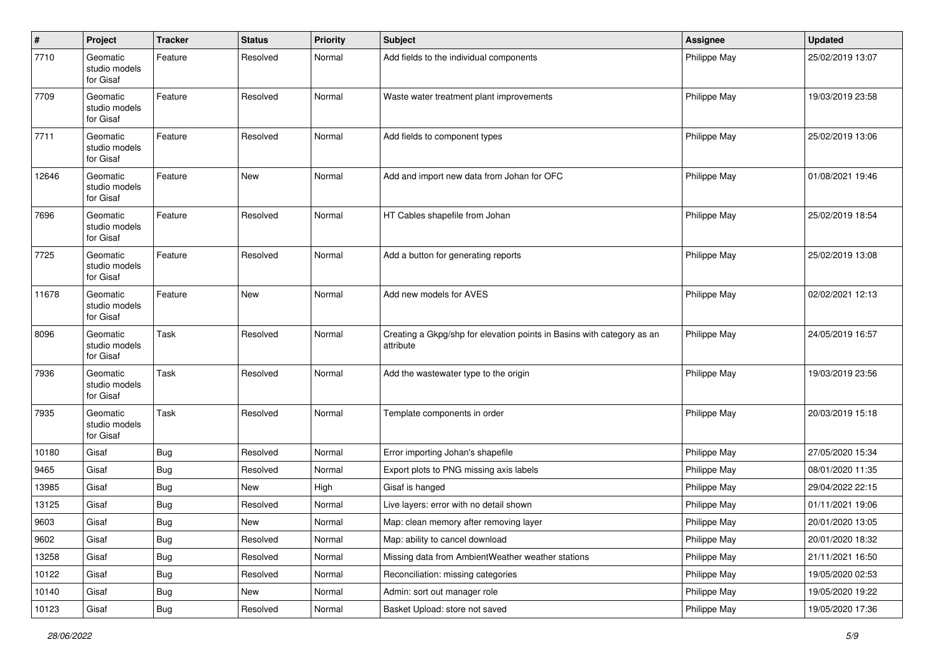| $\sharp$ | Project                                | <b>Tracker</b> | <b>Status</b> | <b>Priority</b> | <b>Subject</b>                                                                      | Assignee     | <b>Updated</b>   |
|----------|----------------------------------------|----------------|---------------|-----------------|-------------------------------------------------------------------------------------|--------------|------------------|
| 7710     | Geomatic<br>studio models<br>for Gisaf | Feature        | Resolved      | Normal          | Add fields to the individual components                                             | Philippe May | 25/02/2019 13:07 |
| 7709     | Geomatic<br>studio models<br>for Gisaf | Feature        | Resolved      | Normal          | Waste water treatment plant improvements                                            | Philippe May | 19/03/2019 23:58 |
| 7711     | Geomatic<br>studio models<br>for Gisaf | Feature        | Resolved      | Normal          | Add fields to component types                                                       | Philippe May | 25/02/2019 13:06 |
| 12646    | Geomatic<br>studio models<br>for Gisaf | Feature        | <b>New</b>    | Normal          | Add and import new data from Johan for OFC                                          | Philippe May | 01/08/2021 19:46 |
| 7696     | Geomatic<br>studio models<br>for Gisaf | Feature        | Resolved      | Normal          | HT Cables shapefile from Johan                                                      | Philippe May | 25/02/2019 18:54 |
| 7725     | Geomatic<br>studio models<br>for Gisaf | Feature        | Resolved      | Normal          | Add a button for generating reports                                                 | Philippe May | 25/02/2019 13:08 |
| 11678    | Geomatic<br>studio models<br>for Gisaf | Feature        | <b>New</b>    | Normal          | Add new models for AVES                                                             | Philippe May | 02/02/2021 12:13 |
| 8096     | Geomatic<br>studio models<br>for Gisaf | Task           | Resolved      | Normal          | Creating a Gkpg/shp for elevation points in Basins with category as an<br>attribute | Philippe May | 24/05/2019 16:57 |
| 7936     | Geomatic<br>studio models<br>for Gisaf | Task           | Resolved      | Normal          | Add the wastewater type to the origin                                               | Philippe May | 19/03/2019 23:56 |
| 7935     | Geomatic<br>studio models<br>for Gisaf | Task           | Resolved      | Normal          | Template components in order                                                        | Philippe May | 20/03/2019 15:18 |
| 10180    | Gisaf                                  | Bug            | Resolved      | Normal          | Error importing Johan's shapefile                                                   | Philippe May | 27/05/2020 15:34 |
| 9465     | Gisaf                                  | <b>Bug</b>     | Resolved      | Normal          | Export plots to PNG missing axis labels                                             | Philippe May | 08/01/2020 11:35 |
| 13985    | Gisaf                                  | <b>Bug</b>     | New           | High            | Gisaf is hanged                                                                     | Philippe May | 29/04/2022 22:15 |
| 13125    | Gisaf                                  | <b>Bug</b>     | Resolved      | Normal          | Live layers: error with no detail shown                                             | Philippe May | 01/11/2021 19:06 |
| 9603     | Gisaf                                  | <b>Bug</b>     | <b>New</b>    | Normal          | Map: clean memory after removing layer                                              | Philippe May | 20/01/2020 13:05 |
| 9602     | Gisaf                                  | Bug            | Resolved      | Normal          | Map: ability to cancel download                                                     | Philippe May | 20/01/2020 18:32 |
| 13258    | Gisaf                                  | <b>Bug</b>     | Resolved      | Normal          | Missing data from AmbientWeather weather stations                                   | Philippe May | 21/11/2021 16:50 |
| 10122    | Gisaf                                  | Bug            | Resolved      | Normal          | Reconciliation: missing categories                                                  | Philippe May | 19/05/2020 02:53 |
| 10140    | Gisaf                                  | <b>Bug</b>     | New           | Normal          | Admin: sort out manager role                                                        | Philippe May | 19/05/2020 19:22 |
| 10123    | Gisaf                                  | Bug            | Resolved      | Normal          | Basket Upload: store not saved                                                      | Philippe May | 19/05/2020 17:36 |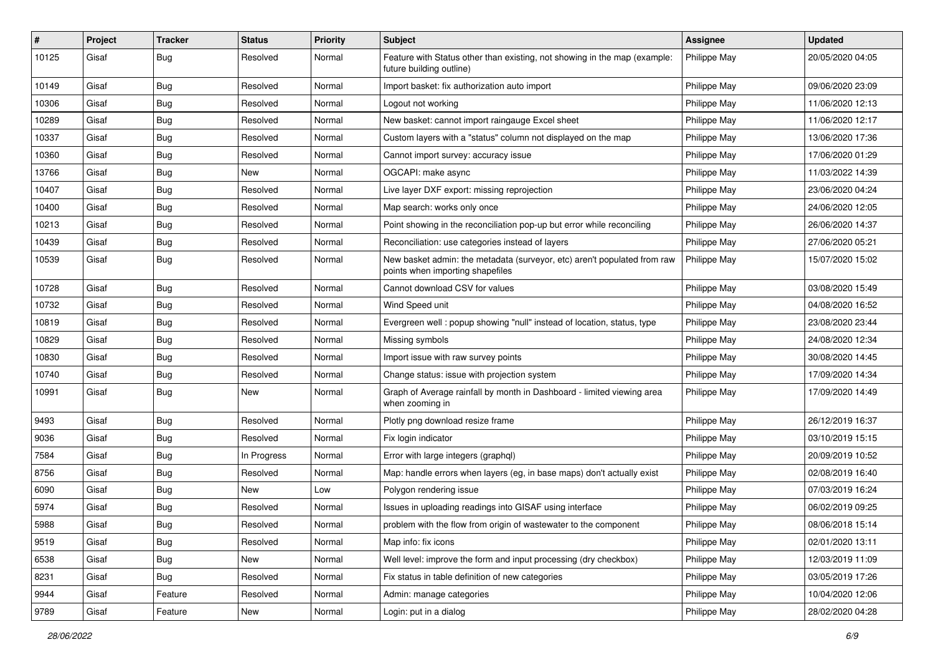| #     | Project | <b>Tracker</b>   | <b>Status</b> | <b>Priority</b> | Subject                                                                                                      | Assignee            | <b>Updated</b>   |
|-------|---------|------------------|---------------|-----------------|--------------------------------------------------------------------------------------------------------------|---------------------|------------------|
| 10125 | Gisaf   | <b>Bug</b>       | Resolved      | Normal          | Feature with Status other than existing, not showing in the map (example:<br>future building outline)        | <b>Philippe May</b> | 20/05/2020 04:05 |
| 10149 | Gisaf   | <b>Bug</b>       | Resolved      | Normal          | Import basket: fix authorization auto import                                                                 | Philippe May        | 09/06/2020 23:09 |
| 10306 | Gisaf   | <b>Bug</b>       | Resolved      | Normal          | Logout not working                                                                                           | Philippe May        | 11/06/2020 12:13 |
| 10289 | Gisaf   | <b>Bug</b>       | Resolved      | Normal          | New basket: cannot import raingauge Excel sheet                                                              | Philippe May        | 11/06/2020 12:17 |
| 10337 | Gisaf   | <b>Bug</b>       | Resolved      | Normal          | Custom layers with a "status" column not displayed on the map                                                | Philippe May        | 13/06/2020 17:36 |
| 10360 | Gisaf   | <b>Bug</b>       | Resolved      | Normal          | Cannot import survey: accuracy issue                                                                         | Philippe May        | 17/06/2020 01:29 |
| 13766 | Gisaf   | <b>Bug</b>       | New           | Normal          | OGCAPI: make async                                                                                           | Philippe May        | 11/03/2022 14:39 |
| 10407 | Gisaf   | <b>Bug</b>       | Resolved      | Normal          | Live layer DXF export: missing reprojection                                                                  | Philippe May        | 23/06/2020 04:24 |
| 10400 | Gisaf   | <b>Bug</b>       | Resolved      | Normal          | Map search: works only once                                                                                  | Philippe May        | 24/06/2020 12:05 |
| 10213 | Gisaf   | <b>Bug</b>       | Resolved      | Normal          | Point showing in the reconciliation pop-up but error while reconciling                                       | Philippe May        | 26/06/2020 14:37 |
| 10439 | Gisaf   | Bug              | Resolved      | Normal          | Reconciliation: use categories instead of layers                                                             | Philippe May        | 27/06/2020 05:21 |
| 10539 | Gisaf   | <b>Bug</b>       | Resolved      | Normal          | New basket admin: the metadata (surveyor, etc) aren't populated from raw<br>points when importing shapefiles | Philippe May        | 15/07/2020 15:02 |
| 10728 | Gisaf   | <b>Bug</b>       | Resolved      | Normal          | Cannot download CSV for values                                                                               | Philippe May        | 03/08/2020 15:49 |
| 10732 | Gisaf   | <b>Bug</b>       | Resolved      | Normal          | Wind Speed unit                                                                                              | Philippe May        | 04/08/2020 16:52 |
| 10819 | Gisaf   | Bug              | Resolved      | Normal          | Evergreen well: popup showing "null" instead of location, status, type                                       | Philippe May        | 23/08/2020 23:44 |
| 10829 | Gisaf   | <b>Bug</b>       | Resolved      | Normal          | Missing symbols                                                                                              | Philippe May        | 24/08/2020 12:34 |
| 10830 | Gisaf   | <b>Bug</b>       | Resolved      | Normal          | Import issue with raw survey points                                                                          | Philippe May        | 30/08/2020 14:45 |
| 10740 | Gisaf   | Bug              | Resolved      | Normal          | Change status: issue with projection system                                                                  | Philippe May        | 17/09/2020 14:34 |
| 10991 | Gisaf   | <b>Bug</b>       | New           | Normal          | Graph of Average rainfall by month in Dashboard - limited viewing area<br>when zooming in                    | Philippe May        | 17/09/2020 14:49 |
| 9493  | Gisaf   | Bug              | Resolved      | Normal          | Plotly png download resize frame                                                                             | Philippe May        | 26/12/2019 16:37 |
| 9036  | Gisaf   | <b>Bug</b>       | Resolved      | Normal          | Fix login indicator                                                                                          | Philippe May        | 03/10/2019 15:15 |
| 7584  | Gisaf   | Bug              | In Progress   | Normal          | Error with large integers (graphql)                                                                          | Philippe May        | 20/09/2019 10:52 |
| 8756  | Gisaf   | <b>Bug</b>       | Resolved      | Normal          | Map: handle errors when layers (eg, in base maps) don't actually exist                                       | Philippe May        | 02/08/2019 16:40 |
| 6090  | Gisaf   | <b>Bug</b>       | New           | Low             | Polygon rendering issue                                                                                      | Philippe May        | 07/03/2019 16:24 |
| 5974  | Gisaf   | <b>Bug</b>       | Resolved      | Normal          | Issues in uploading readings into GISAF using interface                                                      | Philippe May        | 06/02/2019 09:25 |
| 5988  | Gisaf   | <sub>i</sub> Bug | Resolved      | Normal          | problem with the flow from origin of wastewater to the component                                             | Philippe May        | 08/06/2018 15:14 |
| 9519  | Gisaf   | <b>Bug</b>       | Resolved      | Normal          | Map info: fix icons                                                                                          | Philippe May        | 02/01/2020 13:11 |
| 6538  | Gisaf   | Bug              | New           | Normal          | Well level: improve the form and input processing (dry checkbox)                                             | Philippe May        | 12/03/2019 11:09 |
| 8231  | Gisaf   | <b>Bug</b>       | Resolved      | Normal          | Fix status in table definition of new categories                                                             | Philippe May        | 03/05/2019 17:26 |
| 9944  | Gisaf   | Feature          | Resolved      | Normal          | Admin: manage categories                                                                                     | Philippe May        | 10/04/2020 12:06 |
| 9789  | Gisaf   | Feature          | New           | Normal          | Login: put in a dialog                                                                                       | Philippe May        | 28/02/2020 04:28 |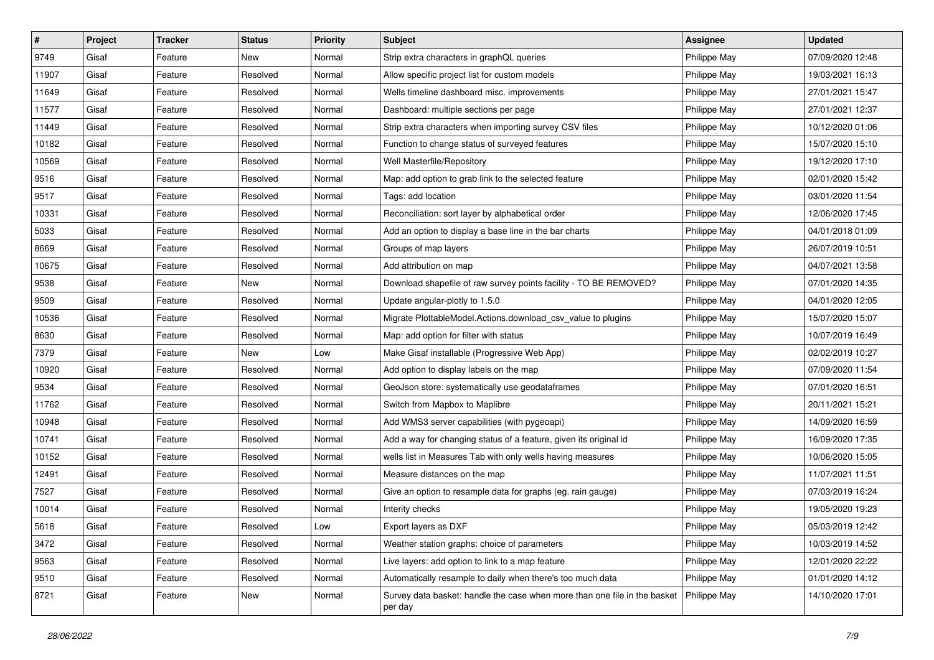| $\#$  | Project | <b>Tracker</b> | <b>Status</b> | <b>Priority</b> | <b>Subject</b>                                                                       | <b>Assignee</b> | <b>Updated</b>   |
|-------|---------|----------------|---------------|-----------------|--------------------------------------------------------------------------------------|-----------------|------------------|
| 9749  | Gisaf   | Feature        | New           | Normal          | Strip extra characters in graphQL queries                                            | Philippe May    | 07/09/2020 12:48 |
| 11907 | Gisaf   | Feature        | Resolved      | Normal          | Allow specific project list for custom models                                        | Philippe May    | 19/03/2021 16:13 |
| 11649 | Gisaf   | Feature        | Resolved      | Normal          | Wells timeline dashboard misc. improvements                                          | Philippe May    | 27/01/2021 15:47 |
| 11577 | Gisaf   | Feature        | Resolved      | Normal          | Dashboard: multiple sections per page                                                | Philippe May    | 27/01/2021 12:37 |
| 11449 | Gisaf   | Feature        | Resolved      | Normal          | Strip extra characters when importing survey CSV files                               | Philippe May    | 10/12/2020 01:06 |
| 10182 | Gisaf   | Feature        | Resolved      | Normal          | Function to change status of surveyed features                                       | Philippe May    | 15/07/2020 15:10 |
| 10569 | Gisaf   | Feature        | Resolved      | Normal          | Well Masterfile/Repository                                                           | Philippe May    | 19/12/2020 17:10 |
| 9516  | Gisaf   | Feature        | Resolved      | Normal          | Map: add option to grab link to the selected feature                                 | Philippe May    | 02/01/2020 15:42 |
| 9517  | Gisaf   | Feature        | Resolved      | Normal          | Tags: add location                                                                   | Philippe May    | 03/01/2020 11:54 |
| 10331 | Gisaf   | Feature        | Resolved      | Normal          | Reconciliation: sort layer by alphabetical order                                     | Philippe May    | 12/06/2020 17:45 |
| 5033  | Gisaf   | Feature        | Resolved      | Normal          | Add an option to display a base line in the bar charts                               | Philippe May    | 04/01/2018 01:09 |
| 8669  | Gisaf   | Feature        | Resolved      | Normal          | Groups of map layers                                                                 | Philippe May    | 26/07/2019 10:51 |
| 10675 | Gisaf   | Feature        | Resolved      | Normal          | Add attribution on map                                                               | Philippe May    | 04/07/2021 13:58 |
| 9538  | Gisaf   | Feature        | New           | Normal          | Download shapefile of raw survey points facility - TO BE REMOVED?                    | Philippe May    | 07/01/2020 14:35 |
| 9509  | Gisaf   | Feature        | Resolved      | Normal          | Update angular-plotly to 1.5.0                                                       | Philippe May    | 04/01/2020 12:05 |
| 10536 | Gisaf   | Feature        | Resolved      | Normal          | Migrate PlottableModel.Actions.download_csv_value to plugins                         | Philippe May    | 15/07/2020 15:07 |
| 8630  | Gisaf   | Feature        | Resolved      | Normal          | Map: add option for filter with status                                               | Philippe May    | 10/07/2019 16:49 |
| 7379  | Gisaf   | Feature        | New           | Low             | Make Gisaf installable (Progressive Web App)                                         | Philippe May    | 02/02/2019 10:27 |
| 10920 | Gisaf   | Feature        | Resolved      | Normal          | Add option to display labels on the map                                              | Philippe May    | 07/09/2020 11:54 |
| 9534  | Gisaf   | Feature        | Resolved      | Normal          | GeoJson store: systematically use geodataframes                                      | Philippe May    | 07/01/2020 16:51 |
| 11762 | Gisaf   | Feature        | Resolved      | Normal          | Switch from Mapbox to Maplibre                                                       | Philippe May    | 20/11/2021 15:21 |
| 10948 | Gisaf   | Feature        | Resolved      | Normal          | Add WMS3 server capabilities (with pygeoapi)                                         | Philippe May    | 14/09/2020 16:59 |
| 10741 | Gisaf   | Feature        | Resolved      | Normal          | Add a way for changing status of a feature, given its original id                    | Philippe May    | 16/09/2020 17:35 |
| 10152 | Gisaf   | Feature        | Resolved      | Normal          | wells list in Measures Tab with only wells having measures                           | Philippe May    | 10/06/2020 15:05 |
| 12491 | Gisaf   | Feature        | Resolved      | Normal          | Measure distances on the map                                                         | Philippe May    | 11/07/2021 11:51 |
| 7527  | Gisaf   | Feature        | Resolved      | Normal          | Give an option to resample data for graphs (eg. rain gauge)                          | Philippe May    | 07/03/2019 16:24 |
| 10014 | Gisaf   | Feature        | Resolved      | Normal          | Interity checks                                                                      | Philippe May    | 19/05/2020 19:23 |
| 5618  | Gisaf   | Feature        | Resolved      | Low             | Export layers as DXF                                                                 | Philippe May    | 05/03/2019 12:42 |
| 3472  | Gisaf   | Feature        | Resolved      | Normal          | Weather station graphs: choice of parameters                                         | Philippe May    | 10/03/2019 14:52 |
| 9563  | Gisaf   | Feature        | Resolved      | Normal          | Live layers: add option to link to a map feature                                     | Philippe May    | 12/01/2020 22:22 |
| 9510  | Gisaf   | Feature        | Resolved      | Normal          | Automatically resample to daily when there's too much data                           | Philippe May    | 01/01/2020 14:12 |
| 8721  | Gisaf   | Feature        | New           | Normal          | Survey data basket: handle the case when more than one file in the basket<br>per day | Philippe May    | 14/10/2020 17:01 |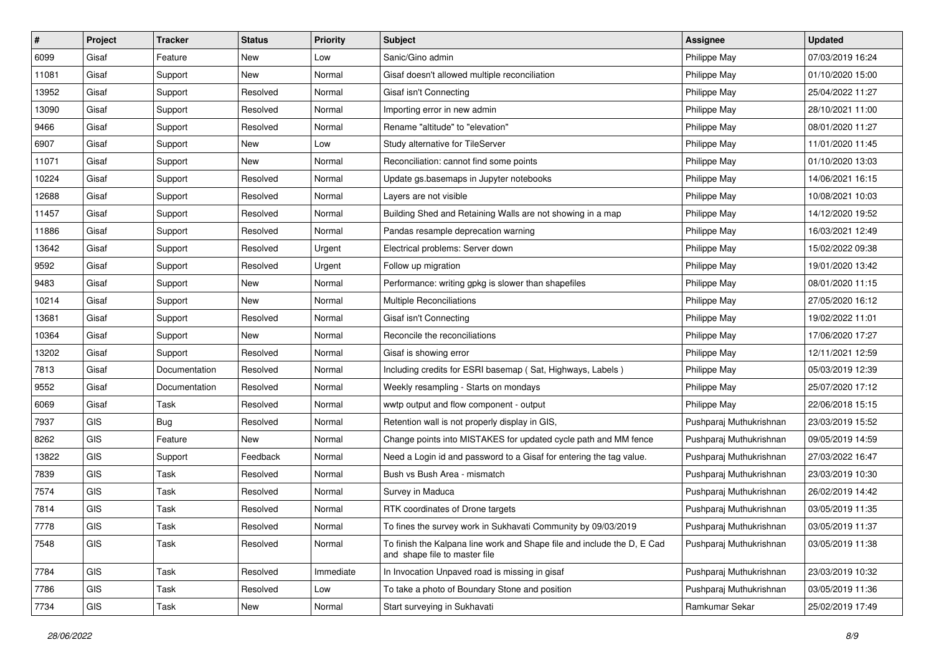| #     | Project    | <b>Tracker</b> | <b>Status</b> | <b>Priority</b> | <b>Subject</b>                                                                                           | <b>Assignee</b>         | <b>Updated</b>   |
|-------|------------|----------------|---------------|-----------------|----------------------------------------------------------------------------------------------------------|-------------------------|------------------|
| 6099  | Gisaf      | Feature        | New           | Low             | Sanic/Gino admin                                                                                         | Philippe May            | 07/03/2019 16:24 |
| 11081 | Gisaf      | Support        | <b>New</b>    | Normal          | Gisaf doesn't allowed multiple reconciliation                                                            | Philippe May            | 01/10/2020 15:00 |
| 13952 | Gisaf      | Support        | Resolved      | Normal          | Gisaf isn't Connecting                                                                                   | Philippe May            | 25/04/2022 11:27 |
| 13090 | Gisaf      | Support        | Resolved      | Normal          | Importing error in new admin                                                                             | Philippe May            | 28/10/2021 11:00 |
| 9466  | Gisaf      | Support        | Resolved      | Normal          | Rename "altitude" to "elevation"                                                                         | Philippe May            | 08/01/2020 11:27 |
| 6907  | Gisaf      | Support        | New           | Low             | Study alternative for TileServer                                                                         | Philippe May            | 11/01/2020 11:45 |
| 11071 | Gisaf      | Support        | New           | Normal          | Reconciliation: cannot find some points                                                                  | Philippe May            | 01/10/2020 13:03 |
| 10224 | Gisaf      | Support        | Resolved      | Normal          | Update gs.basemaps in Jupyter notebooks                                                                  | Philippe May            | 14/06/2021 16:15 |
| 12688 | Gisaf      | Support        | Resolved      | Normal          | Layers are not visible                                                                                   | Philippe May            | 10/08/2021 10:03 |
| 11457 | Gisaf      | Support        | Resolved      | Normal          | Building Shed and Retaining Walls are not showing in a map                                               | Philippe May            | 14/12/2020 19:52 |
| 11886 | Gisaf      | Support        | Resolved      | Normal          | Pandas resample deprecation warning                                                                      | Philippe May            | 16/03/2021 12:49 |
| 13642 | Gisaf      | Support        | Resolved      | Urgent          | Electrical problems: Server down                                                                         | Philippe May            | 15/02/2022 09:38 |
| 9592  | Gisaf      | Support        | Resolved      | Urgent          | Follow up migration                                                                                      | Philippe May            | 19/01/2020 13:42 |
| 9483  | Gisaf      | Support        | New           | Normal          | Performance: writing gpkg is slower than shapefiles                                                      | Philippe May            | 08/01/2020 11:15 |
| 10214 | Gisaf      | Support        | New           | Normal          | Multiple Reconciliations                                                                                 | Philippe May            | 27/05/2020 16:12 |
| 13681 | Gisaf      | Support        | Resolved      | Normal          | Gisaf isn't Connecting                                                                                   | Philippe May            | 19/02/2022 11:01 |
| 10364 | Gisaf      | Support        | New           | Normal          | Reconcile the reconciliations                                                                            | Philippe May            | 17/06/2020 17:27 |
| 13202 | Gisaf      | Support        | Resolved      | Normal          | Gisaf is showing error                                                                                   | Philippe May            | 12/11/2021 12:59 |
| 7813  | Gisaf      | Documentation  | Resolved      | Normal          | Including credits for ESRI basemap (Sat, Highways, Labels)                                               | Philippe May            | 05/03/2019 12:39 |
| 9552  | Gisaf      | Documentation  | Resolved      | Normal          | Weekly resampling - Starts on mondays                                                                    | Philippe May            | 25/07/2020 17:12 |
| 6069  | Gisaf      | Task           | Resolved      | Normal          | wwtp output and flow component - output                                                                  | Philippe May            | 22/06/2018 15:15 |
| 7937  | <b>GIS</b> | <b>Bug</b>     | Resolved      | Normal          | Retention wall is not properly display in GIS,                                                           | Pushparaj Muthukrishnan | 23/03/2019 15:52 |
| 8262  | <b>GIS</b> | Feature        | New           | Normal          | Change points into MISTAKES for updated cycle path and MM fence                                          | Pushparaj Muthukrishnan | 09/05/2019 14:59 |
| 13822 | <b>GIS</b> | Support        | Feedback      | Normal          | Need a Login id and password to a Gisaf for entering the tag value.                                      | Pushparaj Muthukrishnan | 27/03/2022 16:47 |
| 7839  | <b>GIS</b> | Task           | Resolved      | Normal          | Bush vs Bush Area - mismatch                                                                             | Pushparaj Muthukrishnan | 23/03/2019 10:30 |
| 7574  | <b>GIS</b> | Task           | Resolved      | Normal          | Survey in Maduca                                                                                         | Pushparaj Muthukrishnan | 26/02/2019 14:42 |
| 7814  | GIS        | Task           | Resolved      | Normal          | RTK coordinates of Drone targets                                                                         | Pushparaj Muthukrishnan | 03/05/2019 11:35 |
| 7778  | GIS        | Task           | Resolved      | Normal          | To fines the survey work in Sukhavati Community by 09/03/2019                                            | Pushparaj Muthukrishnan | 03/05/2019 11:37 |
| 7548  | GIS        | Task           | Resolved      | Normal          | To finish the Kalpana line work and Shape file and include the D, E Cad<br>and shape file to master file | Pushparaj Muthukrishnan | 03/05/2019 11:38 |
| 7784  | <b>GIS</b> | Task           | Resolved      | Immediate       | In Invocation Unpaved road is missing in gisaf                                                           | Pushparaj Muthukrishnan | 23/03/2019 10:32 |
| 7786  | GIS        | Task           | Resolved      | Low             | To take a photo of Boundary Stone and position                                                           | Pushparaj Muthukrishnan | 03/05/2019 11:36 |
| 7734  | GIS        | Task           | New           | Normal          | Start surveying in Sukhavati                                                                             | Ramkumar Sekar          | 25/02/2019 17:49 |